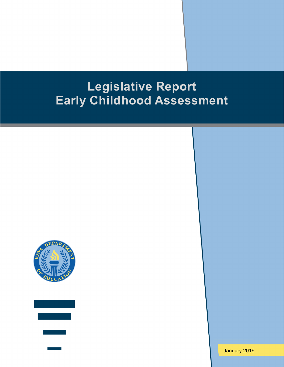# **Legislative Report Early Childhood Assessment**





January 2019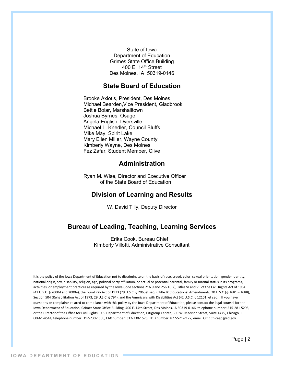State of Iowa Department of Education Grimes State Office Building 400 E.  $14<sup>th</sup>$  Street Des Moines, IA 50319-0146

### **State Board of Education**

Brooke Axiotis, President, Des Moines Michael Bearden,Vice President, Gladbrook Bettie Bolar, Marshalltown Joshua Byrnes, Osage Angela English, Dyersville Michael L. Knedler, Council Bluffs Mike May, Spirit Lake Mary Ellen Miller, Wayne County Kimberly Wayne, Des Moines Fez Zafar, Student Member, Clive

## **Administration**

Ryan M. Wise, Director and Executive Officer of the State Board of Education

## **Division of Learning and Results**

W. David Tilly, Deputy Director

## **Bureau of Leading, Teaching, Learning Services**

Erika Cook, Bureau Chief Kimberly Villotti, Administrative Consultant

It is the policy of the Iowa Department of Education not to discriminate on the basis of race, creed, color, sexual orientation, gender identity, national origin, sex, disability, religion, age, political party affiliation, or actual or potential parental, family or marital status in its programs, activities, or employment practices as required by the Iowa Code sections 216.9 and 256.10(2), Titles VI and VII of the Civil Rights Act of 1964 (42 U.S.C. § 2000d and 2000e), the Equal Pay Act of 1973 (29 U.S.C. § 206, et seq.), Title IX (Educational Amendments, 20 U.S.C.§§ 1681 – 1688), Section 504 (Rehabilitation Act of 1973, 29 U.S.C. § 794), and the Americans with Disabilities Act (42 U.S.C. § 12101, et seq.). If you have questions or complaints related to compliance with this policy by the Iowa Department of Education, please contact the legal counsel for the Iowa Department of Education, Grimes State Office Building, 400 E. 14th Street, Des Moines, IA 50319-0146, telephone number: 515-281-5295, or the Director of the Office for Civil Rights, U.S. Department of Education, Citigroup Center, 500 W. Madison Street, Suite 1475, Chicago, IL 60661-4544, telephone number: 312-730-1560, FAX number: 312-730-1576, TDD number: 877-521-2172, email: OCR.Chicago@ed.gov.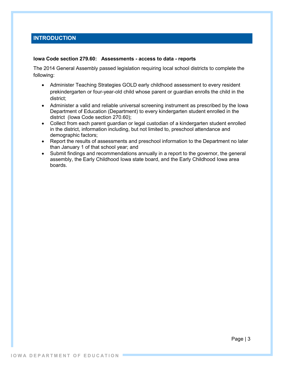## **INTRODUCTION**

#### **Iowa Code section 279.60: Assessments - access to data - reports**

The 2014 General Assembly passed legislation requiring local school districts to complete the following:

- Administer Teaching Strategies GOLD early childhood assessment to every resident prekindergarten or four-year-old child whose parent or guardian enrolls the child in the district;
- Administer a valid and reliable universal screening instrument as prescribed by the Iowa Department of Education (Department) to every kindergarten student enrolled in the district (Iowa Code section 270.60);
- Collect from each parent guardian or legal custodian of a kindergarten student enrolled in the district, information including, but not limited to, preschool attendance and demographic factors;
- Report the results of assessments and preschool information to the Department no later than January 1 of that school year; and
- Submit findings and recommendations annually in a report to the governor, the general assembly, the Early Childhood Iowa state board, and the Early Childhood Iowa area boards.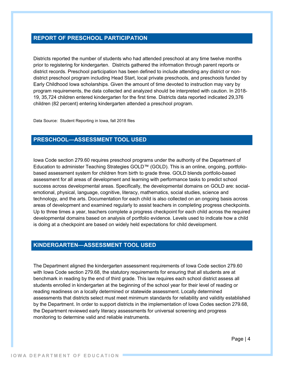### **REPORT OF PRESCHOOL PARTICIPATION**

Districts reported the number of students who had attended preschool at any time twelve months prior to registering for kindergarten. Districts gathered the information through parent reports or district records. Preschool participation has been defined to include attending any district or nondistrict preschool program including Head Start, local private preschools, and preschools funded by Early Childhood Iowa scholarships. Given the amount of time devoted to instruction may vary by program requirements, the data collected and analyzed should be interpreted with caution. In 2018- 19, 35,724 children entered kindergarten for the first time. Districts data reported indicated 29,376 children (82 percent) entering kindergarten attended a preschool program.

Data Source: Student Reporting in Iowa, fall 2018 files

## **PRESCHOOL—ASSESSMENT TOOL USED**

Iowa Code section 279.60 requires preschool programs under the authority of the Department of Education to administer Teaching Strategies GOLD™ (GOLD). This is an online, ongoing, portfoliobased assessment system for children from birth to grade three. GOLD blends portfolio-based assessment for all areas of development and learning with performance tasks to predict school success across developmental areas. Specifically, the developmental domains on GOLD are: socialemotional, physical, language, cognitive, literacy, mathematics, social studies, science and technology, and the arts. Documentation for each child is also collected on an ongoing basis across areas of development and examined regularly to assist teachers in completing progress checkpoints. Up to three times a year, teachers complete a progress checkpoint for each child across the required developmental domains based on analysis of portfolio evidence. Levels used to indicate how a child is doing at a checkpoint are based on widely held expectations for child development.

## **KINDERGARTEN—ASSESSMENT TOOL USED**

The Department aligned the kindergarten assessment requirements of Iowa Code section 279.60 with Iowa Code section 279.68, the statutory requirements for ensuring that all students are at benchmark in reading by the end of third grade. This law requires each school district assess all students enrolled in kindergarten at the beginning of the school year for their level of reading or reading readiness on a locally determined or statewide assessment. Locally determined assessments that districts select must meet minimum standards for reliability and validity established by the Department. In order to support districts in the implementation of Iowa Codes section 279.68, the Department reviewed early literacy assessments for universal screening and progress monitoring to determine valid and reliable instruments.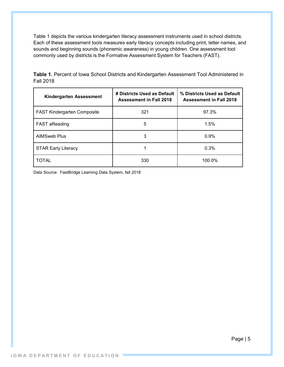Table 1 depicts the various kindergarten literacy assessment instruments used in school districts. Each of these assessment tools measures early literacy concepts including print, letter names, and sounds and beginning sounds (phonemic awareness) in young children. One assessment tool commonly used by districts is the Formative Assessment System for Teachers (FAST).

| Kindergarten Assessment            | # Districts Used as Default<br><b>Assessment in Fall 2018</b> | % Districts Used as Default<br><b>Assessment in Fall 2018</b> |
|------------------------------------|---------------------------------------------------------------|---------------------------------------------------------------|
| <b>FAST Kindergarten Composite</b> | 321                                                           | 97.3%                                                         |
| <b>FAST aReading</b>               | 5                                                             | 1.5%                                                          |
| <b>AIMSweb Plus</b>                | 3                                                             | 0.9%                                                          |
| <b>STAR Early Literacy</b>         |                                                               | 0.3%                                                          |
| TOTAL                              | 330                                                           | 100.0%                                                        |

**Table 1.** Percent of Iowa School Districts and Kindergarten Assessment Tool Administered in Fall 2018

Data Source: FastBridge Learning Data System, fall 2018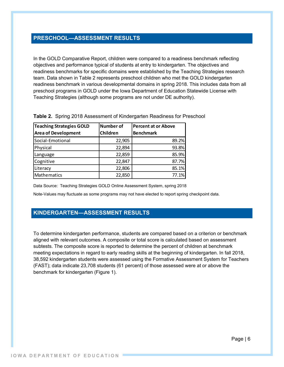#### **PRESCHOOL—ASSESSMENT RESULTS**

In the GOLD Comparative Report, children were compared to a readiness benchmark reflecting objectives and performance typical of students at entry to kindergarten. The objectives and readiness benchmarks for specific domains were established by the Teaching Strategies research team. Data shown in Table 2 represents preschool children who met the GOLD kindergarten readiness benchmark in various developmental domains in spring 2018. This includes data from all preschool programs in GOLD under the Iowa Department of Education Statewide License with Teaching Strategies (although some programs are not under DE authority).

| <b>Teaching Strategies GOLD</b><br><b>Area of Development</b> | <b>Number of</b><br>Children | <b>Percent at or Above</b><br><b>Benchmark</b> |
|---------------------------------------------------------------|------------------------------|------------------------------------------------|
| Social-Emotional                                              | 22,905                       | 89.2%                                          |
| Physical                                                      | 22,894                       | 93.8%                                          |
| Language                                                      | 22,859                       | 85.9%                                          |
| Cognitive                                                     | 22,847                       | 87.7%                                          |
| Literacy                                                      | 22,806                       | 85.1%                                          |
| Mathematics                                                   | 22,850                       | 77.1%                                          |

**Table 2.** Spring 2018 Assessment of Kindergarten Readiness for Preschool

Data Source: Teaching Strategies GOLD Online Assessment System, spring 2018

Note-Values may fluctuate as some programs may not have elected to report spring checkpoint data.

## **KINDERGARTEN—ASSESSMENT RESULTS**

To determine kindergarten performance, students are compared based on a criterion or benchmark aligned with relevant outcomes. A composite or total score is calculated based on assessment subtests. The composite score is reported to determine the percent of children at benchmark meeting expectations in regard to early reading skills at the beginning of kindergarten. In fall 2018, 38,592 kindergarten students were assessed using the Formative Assessment System for Teachers (FAST); data indicate 23,708 students (61 percent) of those assessed were at or above the benchmark for kindergarten (Figure 1).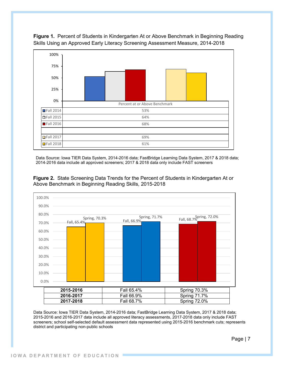

**Figure 1.** Percent of Students in Kindergarten At or Above Benchmark in Beginning Reading Skills Using an Approved Early Literacy Screening Assessment Measure, 2014-2018

Data Source: Iowa TIER Data System, 2014-2016 data; FastBridge Learning Data System, 2017 & 2018 data; 2014-2016 data include all approved screeners; 2017 & 2018 data only include FAST screeners



**Figure 2.** State Screening Data Trends for the Percent of Students in Kindergarten At or Above Benchmark in Beginning Reading Skills, 2015-2018

Data Source: Iowa TIER Data System, 2014-2016 data; FastBridge Learning Data System, 2017 & 2018 data; 2015-2016 and 2016-2017 data include all approved literacy assessments, 2017-2018 data only include FAST screeners; school self-selected default assessment data represented using 2015-2016 benchmark cuts; represents district and participating non-public schools